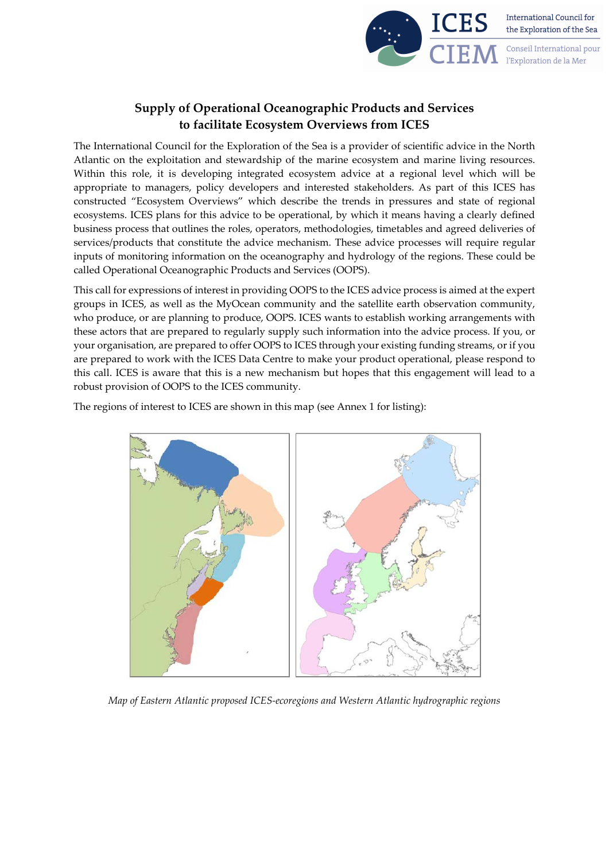

## **Supply of Operational Oceanographic Products and Services to facilitate Ecosystem Overviews from ICES**

The International Council for the Exploration of the Sea is a provider of scientific advice in the North Atlantic on the exploitation and stewardship of the marine ecosystem and marine living resources. Within this role, it is developing integrated ecosystem advice at a regional level which will be appropriate to managers, policy developers and interested stakeholders. As part of this ICES has constructed "Ecosystem Overviews" which describe the trends in pressures and state of regional ecosystems. ICES plans for this advice to be operational, by which it means having a clearly defined business process that outlines the roles, operators, methodologies, timetables and agreed deliveries of services/products that constitute the advice mechanism. These advice processes will require regular inputs of monitoring information on the oceanography and hydrology of the regions. These could be called Operational Oceanographic Products and Services (OOPS).

This call for expressions of interest in providing OOPS to the ICES advice process is aimed at the expert groups in ICES, as well as the MyOcean community and the satellite earth observation community, who produce, or are planning to produce, OOPS. ICES wants to establish working arrangements with these actors that are prepared to regularly supply such information into the advice process. If you, or your organisation, are prepared to offer OOPS to ICES through your existing funding streams, or if you are prepared to work with the ICES Data Centre to make your product operational, please respond to this call. ICES is aware that this is a new mechanism but hopes that this engagement will lead to a robust provision of OOPS to the ICES community.

The regions of interest to ICES are shown in this map (see Annex 1 for listing):

*Map of Eastern Atlantic proposed ICES-ecoregions and Western Atlantic hydrographic regions*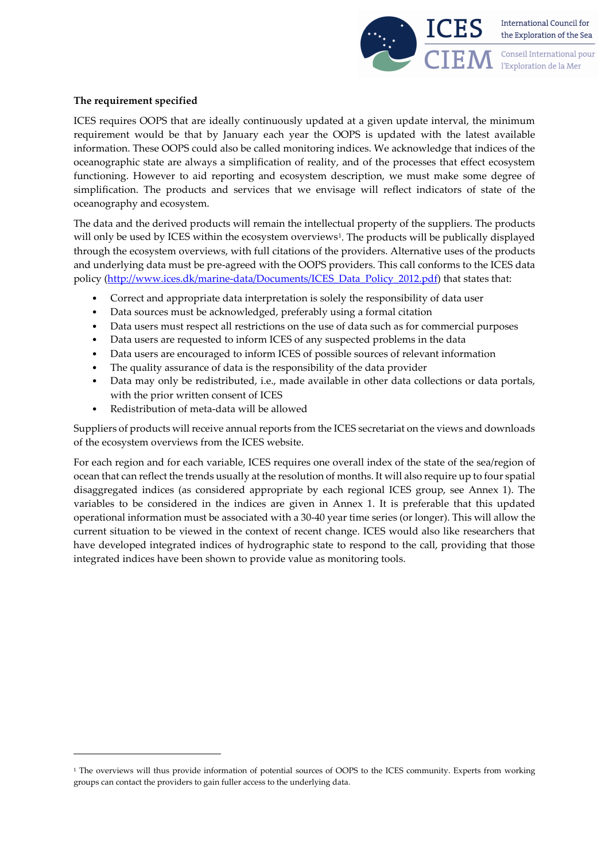

## **The requirement specified**

ICES requires OOPS that are ideally continuously updated at a given update interval, the minimum requirement would be that by January each year the OOPS is updated with the latest available information. These OOPS could also be called monitoring indices. We acknowledge that indices of the oceanographic state are always a simplification of reality, and of the processes that effect ecosystem functioning. However to aid reporting and ecosystem description, we must make some degree of simplification. The products and services that we envisage will reflect indicators of state of the oceanography and ecosystem.

The data and the derived products will remain the intellectual property of the suppliers. The products will only be used by ICES within the ecosystem overviews<sup>1</sup>. The products will be publically displayed through the ecosystem overviews, with full citations of the providers. Alternative uses of the products and underlying data must be pre-agreed with the OOPS providers. This call conforms to the ICES data policy [\(http://www.ices.dk/marine-data/Documents/ICES\\_Data\\_Policy\\_2012.pdf\)](http://www.ices.dk/marine-data/Documents/ICES_Data_Policy_2012.pdf) that states that:

- Correct and appropriate data interpretation is solely the responsibility of data user
- Data sources must be acknowledged, preferably using a formal citation
- Data users must respect all restrictions on the use of data such as for commercial purposes
- Data users are requested to inform ICES of any suspected problems in the data
- Data users are encouraged to inform ICES of possible sources of relevant information
- The quality assurance of data is the responsibility of the data provider
- Data may only be redistributed, i.e., made available in other data collections or data portals, with the prior written consent of ICES
- Redistribution of meta-data will be allowed

Suppliers of products will receive annual reports from the ICES secretariat on the views and downloads of the ecosystem overviews from the ICES website.

For each region and for each variable, ICES requires one overall index of the state of the sea/region of ocean that can reflect the trends usually at the resolution of months. It will also require up to four spatial disaggregated indices (as considered appropriate by each regional ICES group, see Annex 1). The variables to be considered in the indices are given in Annex 1. It is preferable that this updated operational information must be associated with a 30-40 year time series (or longer). This will allow the current situation to be viewed in the context of recent change. ICES would also like researchers that have developed integrated indices of hydrographic state to respond to the call, providing that those integrated indices have been shown to provide value as monitoring tools.

<span id="page-1-0"></span><sup>&</sup>lt;sup>1</sup> The overviews will thus provide information of potential sources of OOPS to the ICES community. Experts from working groups can contact the providers to gain fuller access to the underlying data.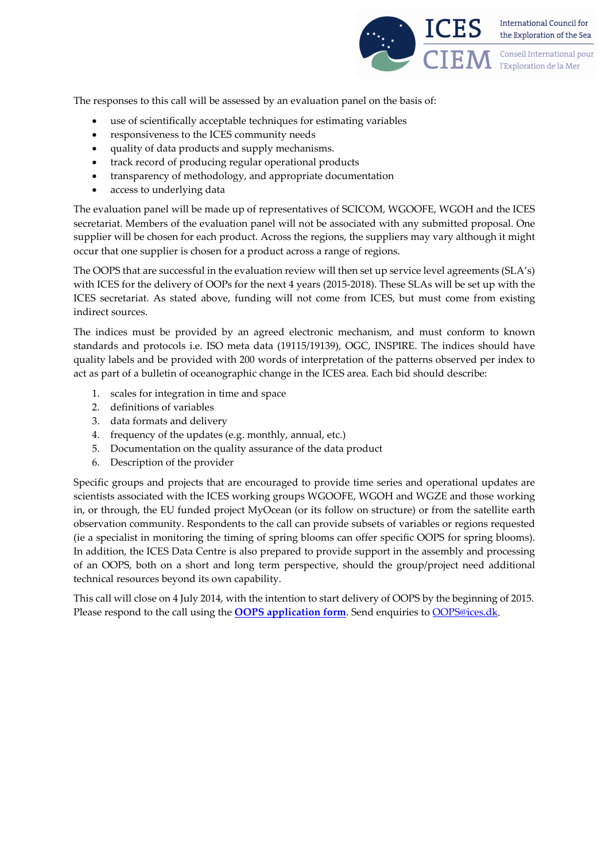

International Council for the Exploration of the Sea

Conseil International pour l'Exploration de la Mer

The responses to this call will be assessed by an evaluation panel on the basis of:

- use of scientifically acceptable techniques for estimating variables
- responsiveness to the ICES community needs
- quality of data products and supply mechanisms.
- track record of producing regular operational products
- transparency of methodology, and appropriate documentation
- access to underlying data

The evaluation panel will be made up of representatives of SCICOM, WGOOFE, WGOH and the ICES secretariat. Members of the evaluation panel will not be associated with any submitted proposal. One supplier will be chosen for each product. Across the regions, the suppliers may vary although it might occur that one supplier is chosen for a product across a range of regions.

The OOPS that are successful in the evaluation review will then set up service level agreements (SLA's) with ICES for the delivery of OOPs for the next 4 years (2015-2018). These SLAs will be set up with the ICES secretariat. As stated above, funding will not come from ICES, but must come from existing indirect sources.

The indices must be provided by an agreed electronic mechanism, and must conform to known standards and protocols i.e. ISO meta data (19115/19139), OGC, INSPIRE. The indices should have quality labels and be provided with 200 words of interpretation of the patterns observed per index to act as part of a bulletin of oceanographic change in the ICES area. Each bid should describe:

- 1. scales for integration in time and space
- 2. definitions of variables
- 3. data formats and delivery
- 4. frequency of the updates (e.g. monthly, annual, etc.)
- 5. Documentation on the quality assurance of the data product
- 6. Description of the provider

Specific groups and projects that are encouraged to provide time series and operational updates are scientists associated with the ICES working groups WGOOFE, WGOH and WGZE and those working in, or through, the EU funded project MyOcean (or its follow on structure) or from the satellite earth observation community. Respondents to the call can provide subsets of variables or regions requested (ie a specialist in monitoring the timing of spring blooms can offer specific OOPS for spring blooms). In addition, the ICES Data Centre is also prepared to provide support in the assembly and processing of an OOPS, both on a short and long term perspective, should the group/project need additional technical resources beyond its own capability.

This call will close on 4 July 2014, with the intention to start delivery of OOPS by the beginning of 2015. Please respond to the call using the **OOPS** application form. Send enquiries to **[OOPS@ices.dk](mailto:OOPS@ices.dk)**.